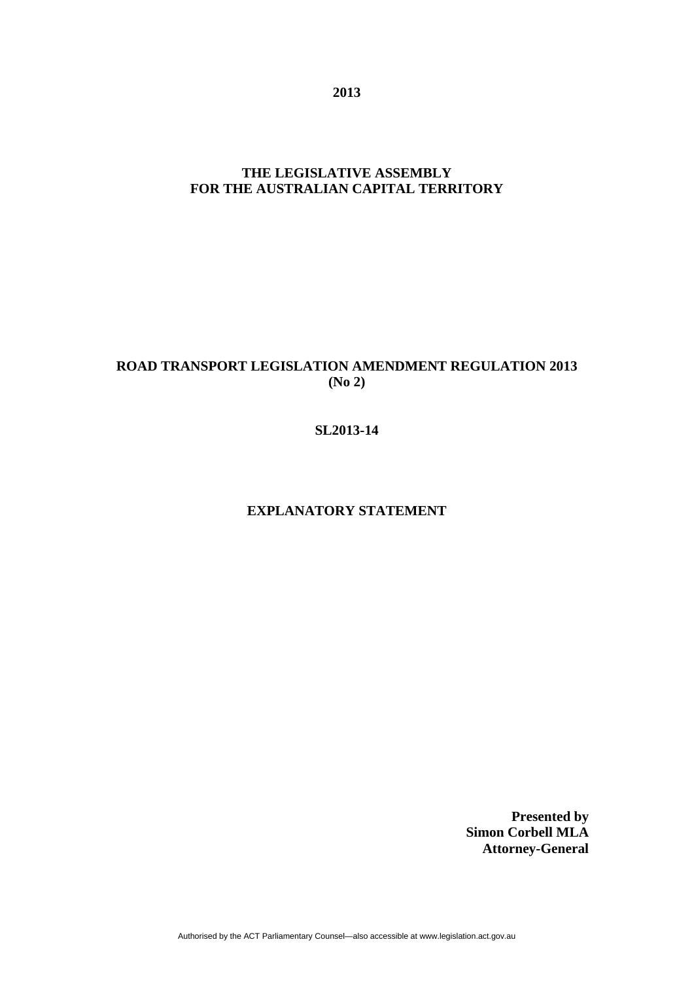**2013** 

## **THE LEGISLATIVE ASSEMBLY FOR THE AUSTRALIAN CAPITAL TERRITORY**

# **ROAD TRANSPORT LEGISLATION AMENDMENT REGULATION 2013 (No 2)**

### **SL2013-14**

## **EXPLANATORY STATEMENT**

**Presented by Simon Corbell MLA Attorney-General**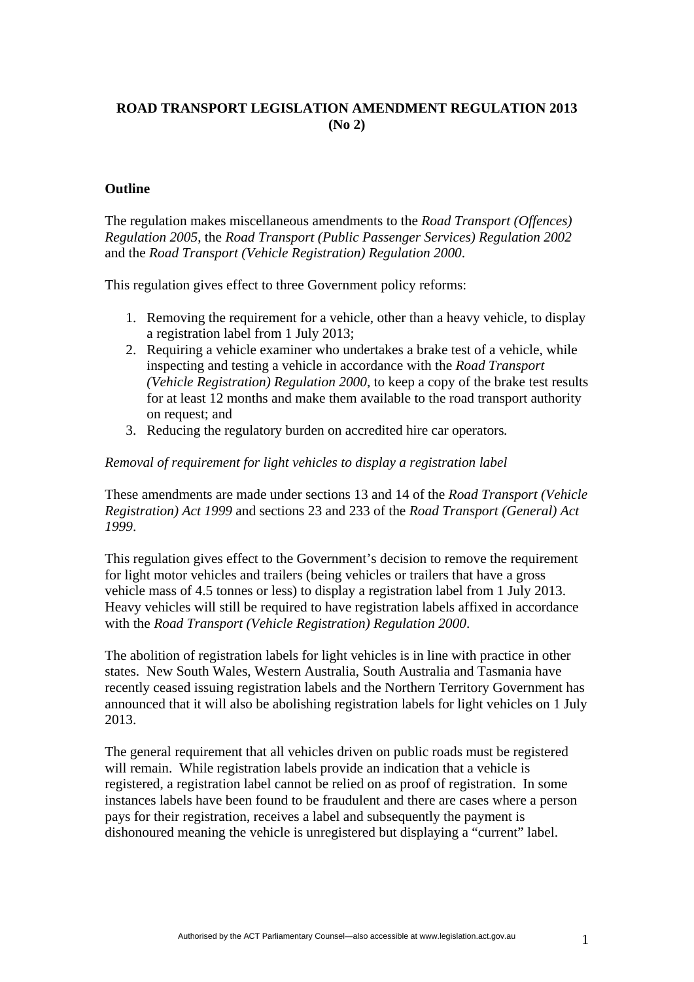## **ROAD TRANSPORT LEGISLATION AMENDMENT REGULATION 2013 (No 2)**

#### **Outline**

The regulation makes miscellaneous amendments to the *Road Transport (Offences) Regulation 2005*, the *Road Transport (Public Passenger Services) Regulation 2002* and the *Road Transport (Vehicle Registration) Regulation 2000*.

This regulation gives effect to three Government policy reforms:

- 1. Removing the requirement for a vehicle, other than a heavy vehicle, to display a registration label from 1 July 2013;
- 2. Requiring a vehicle examiner who undertakes a brake test of a vehicle, while inspecting and testing a vehicle in accordance with the *Road Transport (Vehicle Registration) Regulation 2000*, to keep a copy of the brake test results for at least 12 months and make them available to the road transport authority on request; and
- 3. Reducing the regulatory burden on accredited hire car operators*.*

#### *Removal of requirement for light vehicles to display a registration label*

These amendments are made under sections 13 and 14 of the *Road Transport (Vehicle Registration) Act 1999* and sections 23 and 233 of the *Road Transport (General) Act 1999*.

This regulation gives effect to the Government's decision to remove the requirement for light motor vehicles and trailers (being vehicles or trailers that have a gross vehicle mass of 4.5 tonnes or less) to display a registration label from 1 July 2013. Heavy vehicles will still be required to have registration labels affixed in accordance with the *Road Transport (Vehicle Registration) Regulation 2000*.

The abolition of registration labels for light vehicles is in line with practice in other states. New South Wales, Western Australia, South Australia and Tasmania have recently ceased issuing registration labels and the Northern Territory Government has announced that it will also be abolishing registration labels for light vehicles on 1 July 2013.

The general requirement that all vehicles driven on public roads must be registered will remain. While registration labels provide an indication that a vehicle is registered, a registration label cannot be relied on as proof of registration. In some instances labels have been found to be fraudulent and there are cases where a person pays for their registration, receives a label and subsequently the payment is dishonoured meaning the vehicle is unregistered but displaying a "current" label.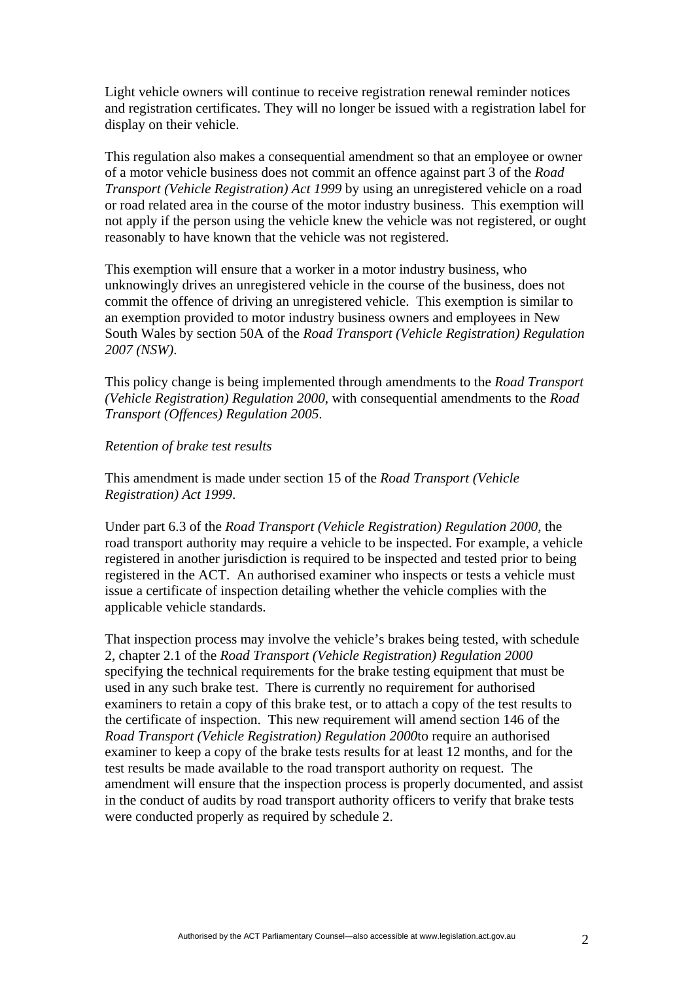Light vehicle owners will continue to receive registration renewal reminder notices and registration certificates. They will no longer be issued with a registration label for display on their vehicle.

This regulation also makes a consequential amendment so that an employee or owner of a motor vehicle business does not commit an offence against part 3 of the *Road Transport (Vehicle Registration) Act 1999* by using an unregistered vehicle on a road or road related area in the course of the motor industry business. This exemption will not apply if the person using the vehicle knew the vehicle was not registered, or ought reasonably to have known that the vehicle was not registered.

This exemption will ensure that a worker in a motor industry business, who unknowingly drives an unregistered vehicle in the course of the business, does not commit the offence of driving an unregistered vehicle. This exemption is similar to an exemption provided to motor industry business owners and employees in New South Wales by section 50A of the *Road Transport (Vehicle Registration) Regulation 2007 (NSW)*.

This policy change is being implemented through amendments to the *Road Transport (Vehicle Registration) Regulation 2000*, with consequential amendments to the *Road Transport (Offences) Regulation 2005*.

#### *Retention of brake test results*

This amendment is made under section 15 of the *Road Transport (Vehicle Registration) Act 1999*.

Under part 6.3 of the *Road Transport (Vehicle Registration) Regulation 2000*, the road transport authority may require a vehicle to be inspected. For example, a vehicle registered in another jurisdiction is required to be inspected and tested prior to being registered in the ACT. An authorised examiner who inspects or tests a vehicle must issue a certificate of inspection detailing whether the vehicle complies with the applicable vehicle standards.

That inspection process may involve the vehicle's brakes being tested, with schedule 2, chapter 2.1 of the *Road Transport (Vehicle Registration) Regulation 2000*  specifying the technical requirements for the brake testing equipment that must be used in any such brake test. There is currently no requirement for authorised examiners to retain a copy of this brake test, or to attach a copy of the test results to the certificate of inspection. This new requirement will amend section 146 of the *Road Transport (Vehicle Registration) Regulation 2000*to require an authorised examiner to keep a copy of the brake tests results for at least 12 months, and for the test results be made available to the road transport authority on request. The amendment will ensure that the inspection process is properly documented, and assist in the conduct of audits by road transport authority officers to verify that brake tests were conducted properly as required by schedule 2.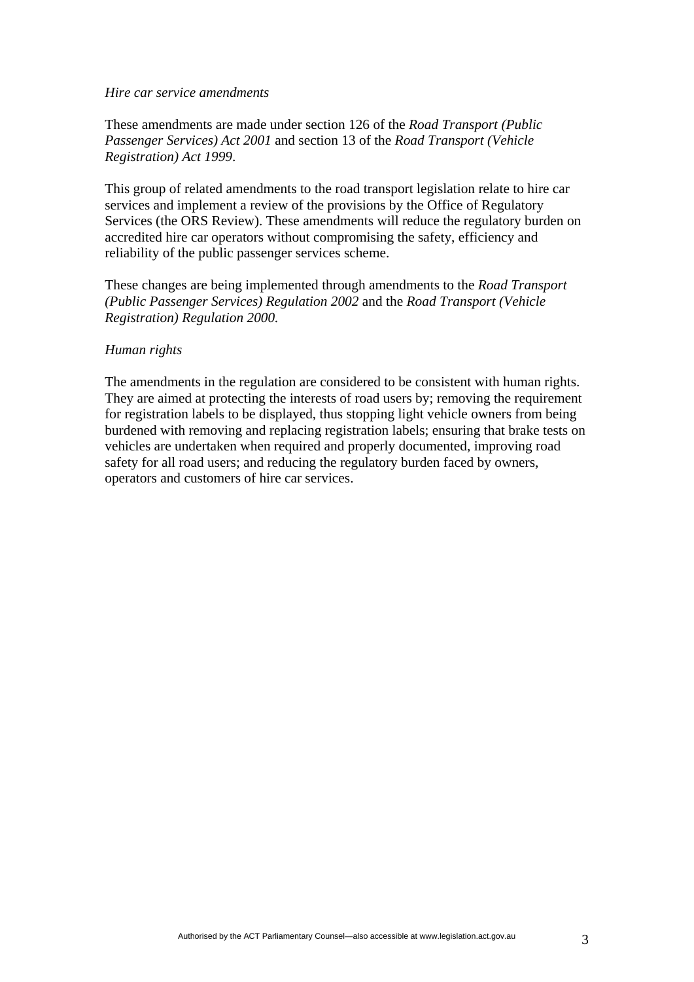#### *Hire car service amendments*

These amendments are made under section 126 of the *Road Transport (Public Passenger Services) Act 2001* and section 13 of the *Road Transport (Vehicle Registration) Act 1999*.

This group of related amendments to the road transport legislation relate to hire car services and implement a review of the provisions by the Office of Regulatory Services (the ORS Review). These amendments will reduce the regulatory burden on accredited hire car operators without compromising the safety, efficiency and reliability of the public passenger services scheme.

These changes are being implemented through amendments to the *Road Transport (Public Passenger Services) Regulation 2002* and the *Road Transport (Vehicle Registration) Regulation 2000.*

#### *Human rights*

The amendments in the regulation are considered to be consistent with human rights. They are aimed at protecting the interests of road users by; removing the requirement for registration labels to be displayed, thus stopping light vehicle owners from being burdened with removing and replacing registration labels; ensuring that brake tests on vehicles are undertaken when required and properly documented, improving road safety for all road users; and reducing the regulatory burden faced by owners, operators and customers of hire car services.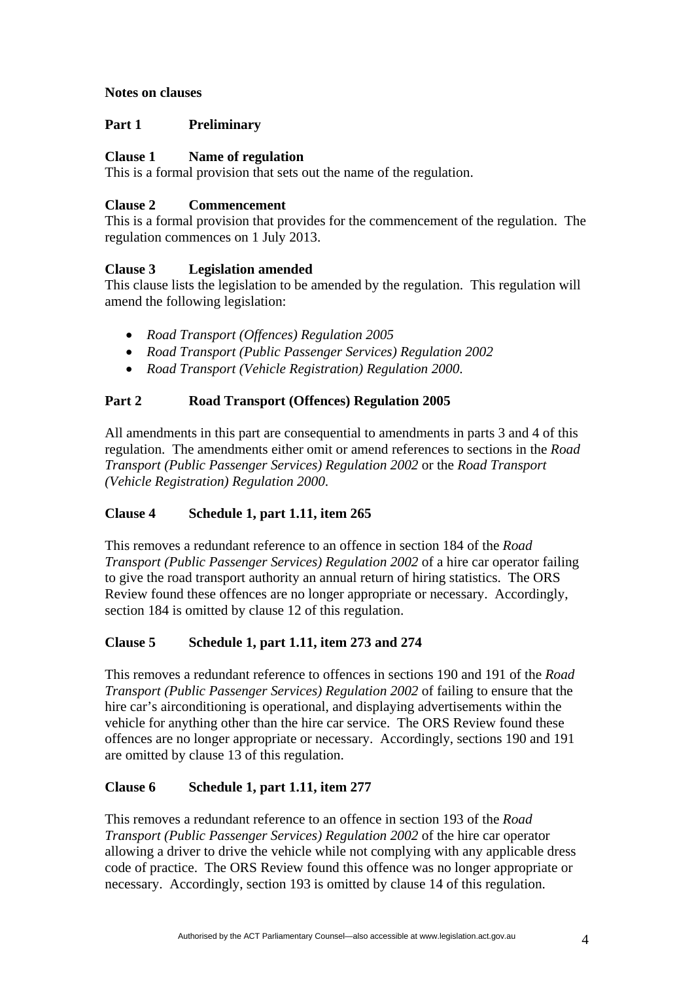### **Notes on clauses**

### **Part 1 Preliminary**

### **Clause 1 Name of regulation**

This is a formal provision that sets out the name of the regulation.

### **Clause 2 Commencement**

This is a formal provision that provides for the commencement of the regulation. The regulation commences on 1 July 2013.

## **Clause 3 Legislation amended**

This clause lists the legislation to be amended by the regulation. This regulation will amend the following legislation:

- *Road Transport (Offences) Regulation 2005*
- *Road Transport (Public Passenger Services) Regulation 2002*
- *Road Transport (Vehicle Registration) Regulation 2000*.

### **Part 2 Road Transport (Offences) Regulation 2005**

All amendments in this part are consequential to amendments in parts 3 and 4 of this regulation. The amendments either omit or amend references to sections in the *Road Transport (Public Passenger Services) Regulation 2002* or the *Road Transport (Vehicle Registration) Regulation 2000*.

## **Clause 4 Schedule 1, part 1.11, item 265**

This removes a redundant reference to an offence in section 184 of the *Road Transport (Public Passenger Services) Regulation 2002* of a hire car operator failing to give the road transport authority an annual return of hiring statistics. The ORS Review found these offences are no longer appropriate or necessary. Accordingly, section 184 is omitted by clause 12 of this regulation.

## **Clause 5 Schedule 1, part 1.11, item 273 and 274**

This removes a redundant reference to offences in sections 190 and 191 of the *Road Transport (Public Passenger Services) Regulation 2002* of failing to ensure that the hire car's airconditioning is operational, and displaying advertisements within the vehicle for anything other than the hire car service. The ORS Review found these offences are no longer appropriate or necessary. Accordingly, sections 190 and 191 are omitted by clause 13 of this regulation.

## **Clause 6 Schedule 1, part 1.11, item 277**

This removes a redundant reference to an offence in section 193 of the *Road Transport (Public Passenger Services) Regulation 2002* of the hire car operator allowing a driver to drive the vehicle while not complying with any applicable dress code of practice. The ORS Review found this offence was no longer appropriate or necessary. Accordingly, section 193 is omitted by clause 14 of this regulation.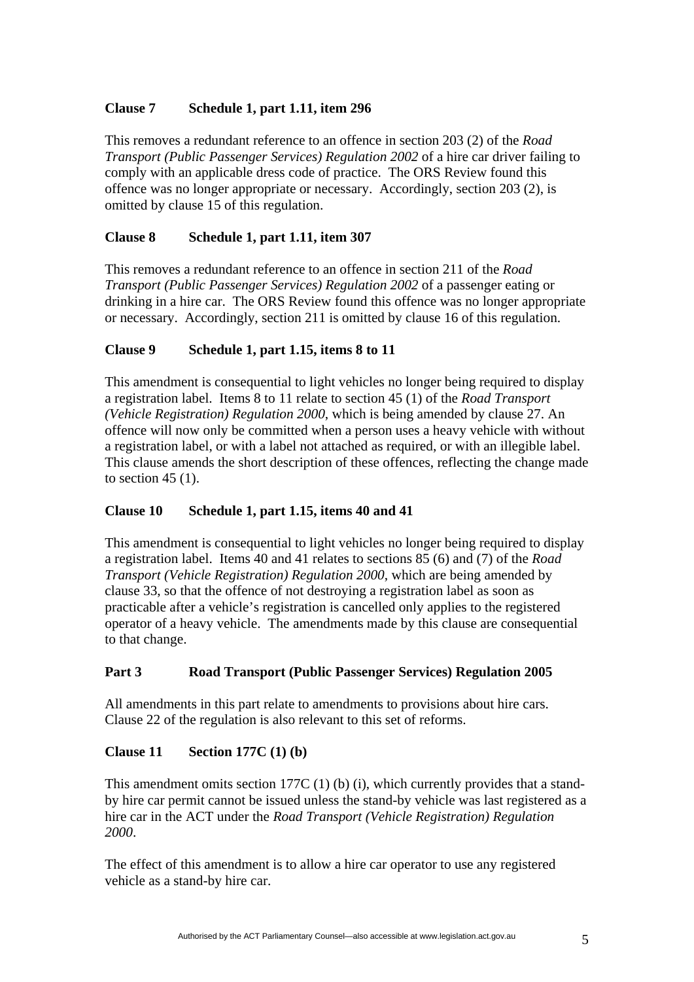## **Clause 7 Schedule 1, part 1.11, item 296**

This removes a redundant reference to an offence in section 203 (2) of the *Road Transport (Public Passenger Services) Regulation 2002* of a hire car driver failing to comply with an applicable dress code of practice. The ORS Review found this offence was no longer appropriate or necessary. Accordingly, section 203 (2), is omitted by clause 15 of this regulation.

# **Clause 8 Schedule 1, part 1.11, item 307**

This removes a redundant reference to an offence in section 211 of the *Road Transport (Public Passenger Services) Regulation 2002* of a passenger eating or drinking in a hire car. The ORS Review found this offence was no longer appropriate or necessary. Accordingly, section 211 is omitted by clause 16 of this regulation.

# **Clause 9 Schedule 1, part 1.15, items 8 to 11**

This amendment is consequential to light vehicles no longer being required to display a registration label. Items 8 to 11 relate to section 45 (1) of the *Road Transport (Vehicle Registration) Regulation 2000*, which is being amended by clause 27. An offence will now only be committed when a person uses a heavy vehicle with without a registration label, or with a label not attached as required, or with an illegible label. This clause amends the short description of these offences, reflecting the change made to section  $45(1)$ .

## **Clause 10 Schedule 1, part 1.15, items 40 and 41**

This amendment is consequential to light vehicles no longer being required to display a registration label. Items 40 and 41 relates to sections 85 (6) and (7) of the *Road Transport (Vehicle Registration) Regulation 2000*, which are being amended by clause 33, so that the offence of not destroying a registration label as soon as practicable after a vehicle's registration is cancelled only applies to the registered operator of a heavy vehicle. The amendments made by this clause are consequential to that change.

# **Part 3 Road Transport (Public Passenger Services) Regulation 2005**

All amendments in this part relate to amendments to provisions about hire cars. Clause 22 of the regulation is also relevant to this set of reforms.

## **Clause 11 Section 177C (1) (b)**

This amendment omits section 177C (1) (b) (i), which currently provides that a standby hire car permit cannot be issued unless the stand-by vehicle was last registered as a hire car in the ACT under the *Road Transport (Vehicle Registration) Regulation 2000*.

The effect of this amendment is to allow a hire car operator to use any registered vehicle as a stand-by hire car.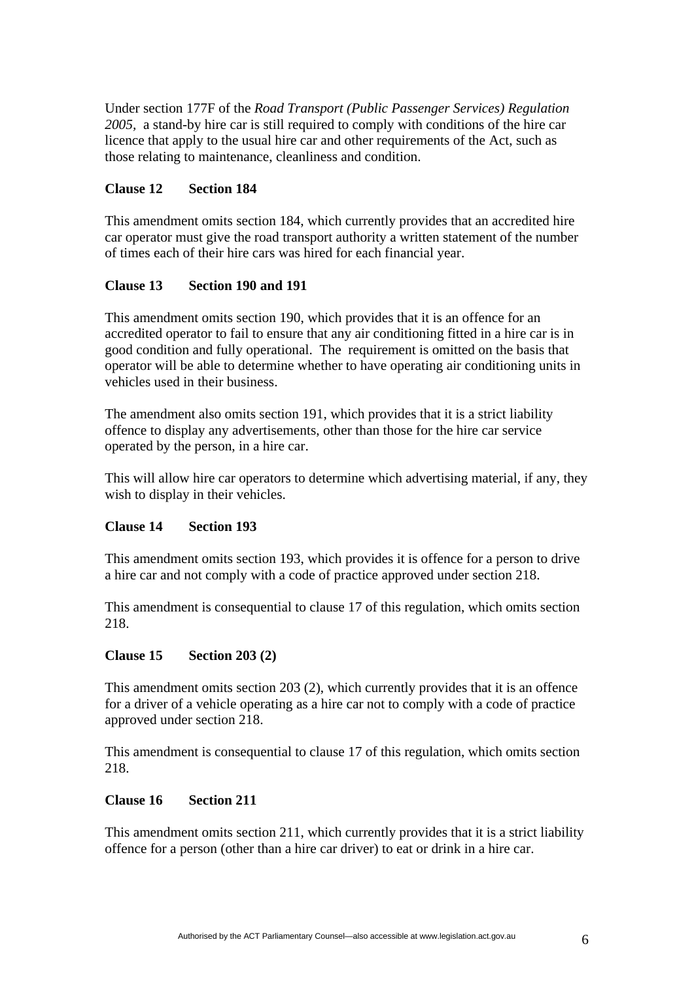Under section 177F of the *Road Transport (Public Passenger Services) Regulation 2005,* a stand-by hire car is still required to comply with conditions of the hire car licence that apply to the usual hire car and other requirements of the Act, such as those relating to maintenance, cleanliness and condition.

### **Clause 12 Section 184**

This amendment omits section 184, which currently provides that an accredited hire car operator must give the road transport authority a written statement of the number of times each of their hire cars was hired for each financial year.

### **Clause 13 Section 190 and 191**

This amendment omits section 190, which provides that it is an offence for an accredited operator to fail to ensure that any air conditioning fitted in a hire car is in good condition and fully operational. The requirement is omitted on the basis that operator will be able to determine whether to have operating air conditioning units in vehicles used in their business.

The amendment also omits section 191, which provides that it is a strict liability offence to display any advertisements, other than those for the hire car service operated by the person, in a hire car.

This will allow hire car operators to determine which advertising material, if any, they wish to display in their vehicles.

#### **Clause 14 Section 193**

This amendment omits section 193, which provides it is offence for a person to drive a hire car and not comply with a code of practice approved under section 218.

This amendment is consequential to clause 17 of this regulation, which omits section 218.

#### **Clause 15 Section 203 (2)**

This amendment omits section 203 (2), which currently provides that it is an offence for a driver of a vehicle operating as a hire car not to comply with a code of practice approved under section 218.

This amendment is consequential to clause 17 of this regulation, which omits section 218.

#### **Clause 16 Section 211**

This amendment omits section 211, which currently provides that it is a strict liability offence for a person (other than a hire car driver) to eat or drink in a hire car.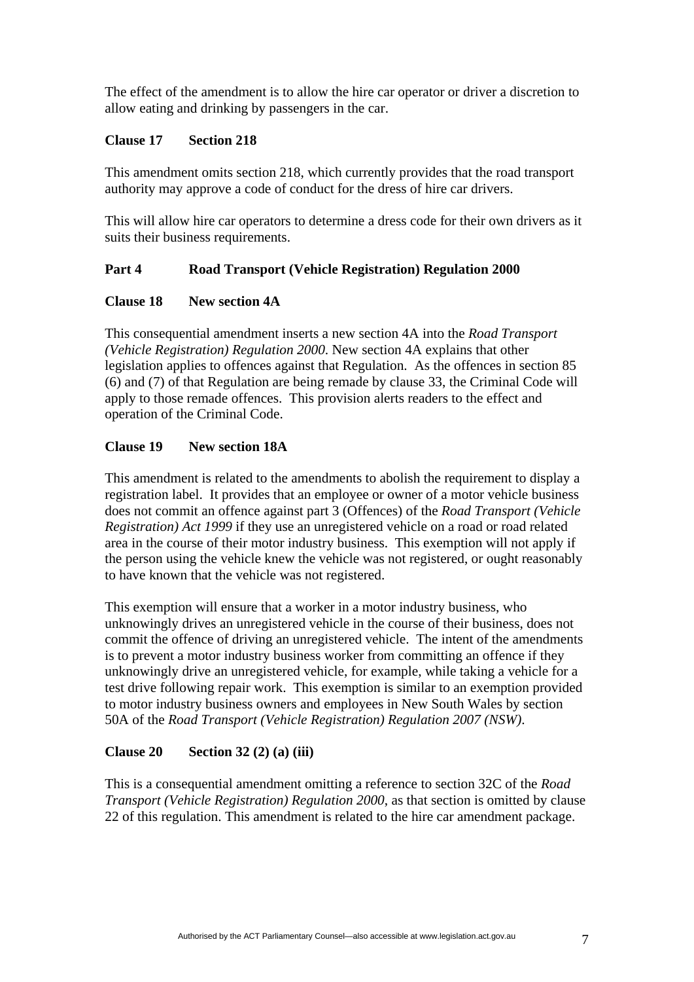The effect of the amendment is to allow the hire car operator or driver a discretion to allow eating and drinking by passengers in the car.

#### **Clause 17 Section 218**

This amendment omits section 218, which currently provides that the road transport authority may approve a code of conduct for the dress of hire car drivers.

This will allow hire car operators to determine a dress code for their own drivers as it suits their business requirements.

## **Part 4 Road Transport (Vehicle Registration) Regulation 2000**

#### **Clause 18 New section 4A**

This consequential amendment inserts a new section 4A into the *Road Transport (Vehicle Registration) Regulation 2000*. New section 4A explains that other legislation applies to offences against that Regulation. As the offences in section 85 (6) and (7) of that Regulation are being remade by clause 33, the Criminal Code will apply to those remade offences. This provision alerts readers to the effect and operation of the Criminal Code.

## **Clause 19 New section 18A**

This amendment is related to the amendments to abolish the requirement to display a registration label. It provides that an employee or owner of a motor vehicle business does not commit an offence against part 3 (Offences) of the *Road Transport (Vehicle Registration) Act 1999* if they use an unregistered vehicle on a road or road related area in the course of their motor industry business. This exemption will not apply if the person using the vehicle knew the vehicle was not registered, or ought reasonably to have known that the vehicle was not registered.

This exemption will ensure that a worker in a motor industry business, who unknowingly drives an unregistered vehicle in the course of their business, does not commit the offence of driving an unregistered vehicle. The intent of the amendments is to prevent a motor industry business worker from committing an offence if they unknowingly drive an unregistered vehicle, for example, while taking a vehicle for a test drive following repair work. This exemption is similar to an exemption provided to motor industry business owners and employees in New South Wales by section 50A of the *Road Transport (Vehicle Registration) Regulation 2007 (NSW)*.

#### **Clause 20 Section 32 (2) (a) (iii)**

This is a consequential amendment omitting a reference to section 32C of the *Road Transport (Vehicle Registration) Regulation 2000*, as that section is omitted by clause 22 of this regulation. This amendment is related to the hire car amendment package.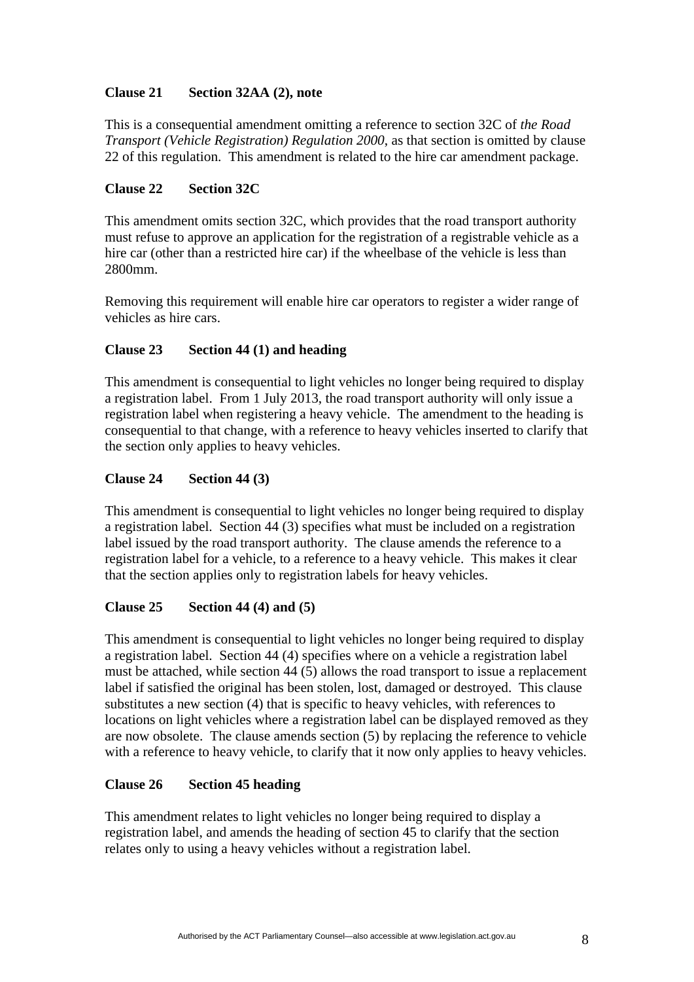## **Clause 21 Section 32AA (2), note**

This is a consequential amendment omitting a reference to section 32C of *the Road Transport (Vehicle Registration) Regulation 2000*, as that section is omitted by clause 22 of this regulation. This amendment is related to the hire car amendment package.

### **Clause 22 Section 32C**

This amendment omits section 32C, which provides that the road transport authority must refuse to approve an application for the registration of a registrable vehicle as a hire car (other than a restricted hire car) if the wheelbase of the vehicle is less than 2800mm.

Removing this requirement will enable hire car operators to register a wider range of vehicles as hire cars.

## **Clause 23 Section 44 (1) and heading**

This amendment is consequential to light vehicles no longer being required to display a registration label. From 1 July 2013, the road transport authority will only issue a registration label when registering a heavy vehicle. The amendment to the heading is consequential to that change, with a reference to heavy vehicles inserted to clarify that the section only applies to heavy vehicles.

### **Clause 24 Section 44 (3)**

This amendment is consequential to light vehicles no longer being required to display a registration label. Section 44 (3) specifies what must be included on a registration label issued by the road transport authority. The clause amends the reference to a registration label for a vehicle, to a reference to a heavy vehicle. This makes it clear that the section applies only to registration labels for heavy vehicles.

## **Clause 25 Section 44 (4) and (5)**

This amendment is consequential to light vehicles no longer being required to display a registration label. Section 44 (4) specifies where on a vehicle a registration label must be attached, while section 44 (5) allows the road transport to issue a replacement label if satisfied the original has been stolen, lost, damaged or destroyed. This clause substitutes a new section (4) that is specific to heavy vehicles, with references to locations on light vehicles where a registration label can be displayed removed as they are now obsolete. The clause amends section (5) by replacing the reference to vehicle with a reference to heavy vehicle, to clarify that it now only applies to heavy vehicles.

## **Clause 26 Section 45 heading**

This amendment relates to light vehicles no longer being required to display a registration label, and amends the heading of section 45 to clarify that the section relates only to using a heavy vehicles without a registration label.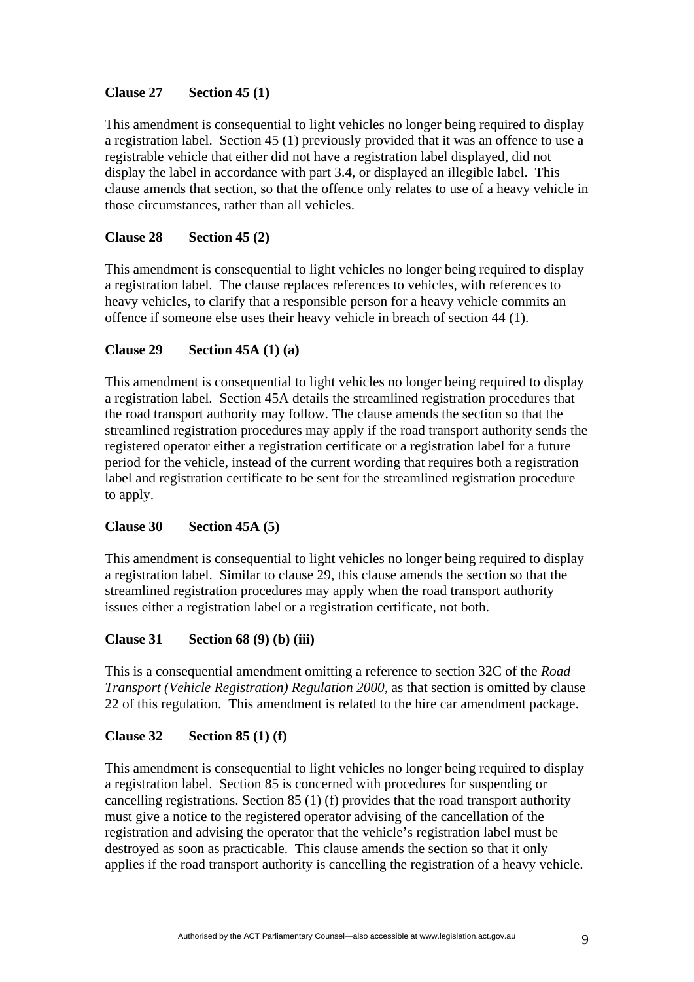## **Clause 27 Section 45 (1)**

This amendment is consequential to light vehicles no longer being required to display a registration label. Section 45 (1) previously provided that it was an offence to use a registrable vehicle that either did not have a registration label displayed, did not display the label in accordance with part 3.4, or displayed an illegible label. This clause amends that section, so that the offence only relates to use of a heavy vehicle in those circumstances, rather than all vehicles.

## **Clause 28 Section 45 (2)**

This amendment is consequential to light vehicles no longer being required to display a registration label. The clause replaces references to vehicles, with references to heavy vehicles, to clarify that a responsible person for a heavy vehicle commits an offence if someone else uses their heavy vehicle in breach of section 44 (1).

## **Clause 29 Section 45A (1) (a)**

This amendment is consequential to light vehicles no longer being required to display a registration label. Section 45A details the streamlined registration procedures that the road transport authority may follow. The clause amends the section so that the streamlined registration procedures may apply if the road transport authority sends the registered operator either a registration certificate or a registration label for a future period for the vehicle, instead of the current wording that requires both a registration label and registration certificate to be sent for the streamlined registration procedure to apply.

## **Clause 30 Section 45A (5)**

This amendment is consequential to light vehicles no longer being required to display a registration label. Similar to clause 29, this clause amends the section so that the streamlined registration procedures may apply when the road transport authority issues either a registration label or a registration certificate, not both.

## **Clause 31 Section 68 (9) (b) (iii)**

This is a consequential amendment omitting a reference to section 32C of the *Road Transport (Vehicle Registration) Regulation 2000,* as that section is omitted by clause 22 of this regulation. This amendment is related to the hire car amendment package.

## **Clause 32 Section 85 (1) (f)**

This amendment is consequential to light vehicles no longer being required to display a registration label. Section 85 is concerned with procedures for suspending or cancelling registrations. Section 85 (1) (f) provides that the road transport authority must give a notice to the registered operator advising of the cancellation of the registration and advising the operator that the vehicle's registration label must be destroyed as soon as practicable. This clause amends the section so that it only applies if the road transport authority is cancelling the registration of a heavy vehicle.